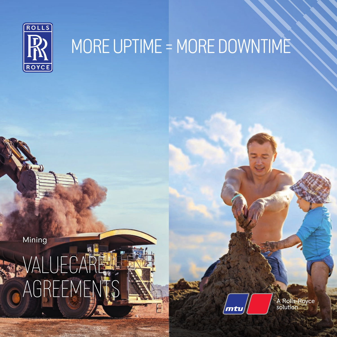

### MORE UPTIME = MORE DOWNTIME

Mining

# VALUECARE AGREEMENTS

mtu

A Rolls-Royce<br>solution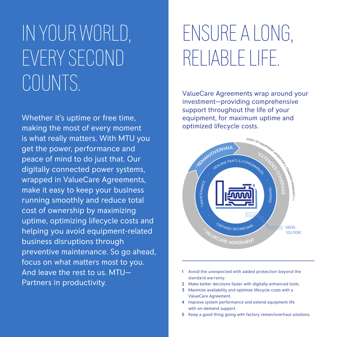## IN YOUR WORLD, EVERY SECOND COUNTS.

Whether it's uptime or free time, making the most of every moment is what really matters. With MTU you get the power, performance and peace of mind to do just that. Our digitally connected power systems, wrapped in ValueCare Agreements, make it easy to keep your business running smoothly and reduce total cost of ownership by maximizing uptime, optimizing lifecycle costs and helping you avoid equipment-related business disruptions through preventive maintenance. So go ahead, focus on what matters most to you. And leave the rest to us. MTU— Partners in productivity.

### ENSURE A LONG, RELIABLE LIFE.

ValueCare Agreements wrap around your investment—providing comprehensive support throughout the life of your equipment, for maximum uptime and optimized lifecycle costs.



- 1 Avoid the unexpected with added protection beyond the standard warranty.
- 2 Make better decisions faster with digitally-enhanced tools.
- 3 Maximize availability and optimize lifecycle costs with a ValueCare Agreement.
- 4 Improve system performance and extend equipment life with on-demand support.
- 5 Keep a good thing going with factory reman/overhaul solutions.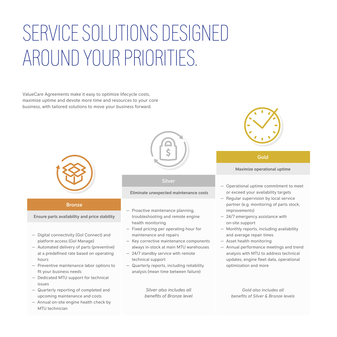## SERVICE SOLUTIONS DESIGNED AROUND YOUR PRIORITIES.

ValueCare Agreements make it easy to optimize lifecycle costs, maximize uptime and devote more time and resources to your core business, with tailored solutions to move your business forward.



### **Bronze**

Ensure parts availability and price stability

- Digital connectivity (Go! Connect) and platform access (Go! Manage)
- Automated delivery of parts (preventive) at a predefined rate based on operating hours
- Preventive maintenance labor options to fit your business needs
- Dedicated MTU support for technical issues
- Quarterly reporting of completed and upcoming maintenance and costs
- Annual on-site engine health check by MTU technician



### Silver

### Eliminate unexpected maintenance costs

- Proactive maintenance planning, troubleshooting and remote engine health monitoring
- Fixed pricing per operating hour for maintenance and repairs
- Key corrective maintenance components always in-stock at main MTU warehouses
- 24/7 standby service with remote technical support
- Quarterly reports, including reliability analysis (mean time between failure)

*Silver also includes all benefits of Bronze level*



### Gold

### Maximize operational uptime

- Operational uptime commitment to meet or exceed your availability targets
- Regular supervision by local service partner (e.g. monitoring of parts stock, improvements)
- 24/7 emergency assistance with on-site support
- Monthly reports, including availability and average repair times
- Asset health monitoring
- Annual performance meetings and trend analysis with MTU to address technical updates, engine fleet data, operational optimization and more

*Gold also includes all benefits of Silver & Bronze levels*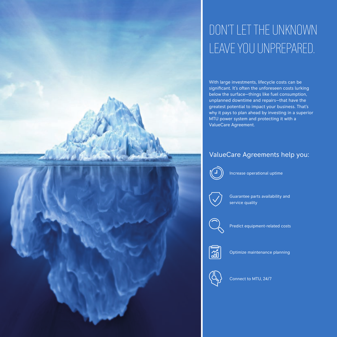### DON'T LET THE UNKNOWN LEAVE YOU UNPREPARED.

With large investments, lifecycle costs can be significant. It's often the unforeseen costs lurking below the surface—things like fuel consumption, unplanned downtime and repairs—that have the greatest potential to impact your business. That's why it pays to plan ahead by investing in a superior MTU power system and protecting it with a ValueCare Agreement.

### ValueCare Agreements help you:



Increase operational uptime



Guarantee parts availability and service quality



Predict equipment-related costs



Optimize maintenance planning



Connect to MTU, 24/7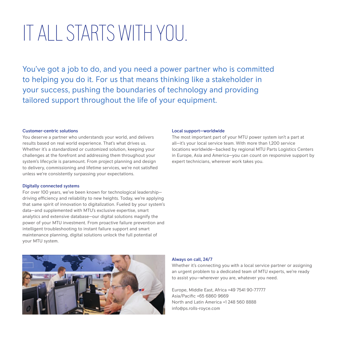### IT ALL STARTS WITH YOU.

You've got a job to do, and you need a power partner who is committed to helping you do it. For us that means thinking like a stakeholder in your success, pushing the boundaries of technology and providing tailored support throughout the life of your equipment.

### Customer-centric solutions

You deserve a partner who understands your world, and delivers results based on real world experience. That's what drives us. Whether it's a standardized or customized solution, keeping your challenges at the forefront and addressing them throughout your system's lifecycle is paramount. From project planning and design to delivery, commissioning and lifetime services, we're not satisfied unless we're consistently surpassing your expectations.

### Digitally connected systems

For over 100 years, we've been known for technological leadership driving efficiency and reliability to new heights. Today, we're applying that same spirit of innovation to digitalization. Fueled by your system's data—and supplemented with MTU's exclusive expertise, smart analytics and extensive database—our digital solutions magnify the power of your MTU investment. From proactive failure prevention and intelligent troubleshooting to instant failure support and smart maintenance planning, digital solutions unlock the full potential of your MTU system.

### Local support—worldwide

The most important part of your MTU power system isn't a part at all—it's your local service team. With more than 1,200 service locations worldwide—backed by regional MTU Parts Logistics Centers in Europe, Asia and America—you can count on responsive support by expert technicians, wherever work takes you.



### Always on call, 24/7

Whether it's connecting you with a local service partner or assigning an urgent problem to a dedicated team of MTU experts, we're ready to assist you—wherever you are, whatever you need.

Europe, Middle East, Africa +49 7541 90-77777 Asia/Pacific +65 6860 9669 North and Latin America +1 248 560 8888 info@ps.rolls-royce.com